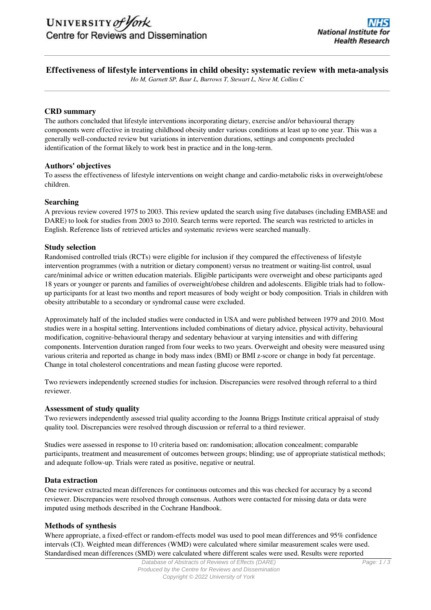# **Effectiveness of lifestyle interventions in child obesity: systematic review with meta-analysis**

*Ho M, Garnett SP, Baur L, Burrows T, Stewart L, Neve M, Collins C*

## **CRD summary**

The authors concluded that lifestyle interventions incorporating dietary, exercise and/or behavioural therapy components were effective in treating childhood obesity under various conditions at least up to one year. This was a generally well-conducted review but variations in intervention durations, settings and components precluded identification of the format likely to work best in practice and in the long-term.

## **Authors' objectives**

To assess the effectiveness of lifestyle interventions on weight change and cardio-metabolic risks in overweight/obese children.

## **Searching**

A previous review covered 1975 to 2003. This review updated the search using five databases (including EMBASE and DARE) to look for studies from 2003 to 2010. Search terms were reported. The search was restricted to articles in English. Reference lists of retrieved articles and systematic reviews were searched manually.

# **Study selection**

Randomised controlled trials (RCTs) were eligible for inclusion if they compared the effectiveness of lifestyle intervention programmes (with a nutrition or dietary component) versus no treatment or waiting-list control, usual care/minimal advice or written education materials. Eligible participants were overweight and obese participants aged 18 years or younger or parents and families of overweight/obese children and adolescents. Eligible trials had to followup participants for at least two months and report measures of body weight or body composition. Trials in children with obesity attributable to a secondary or syndromal cause were excluded.

Approximately half of the included studies were conducted in USA and were published between 1979 and 2010. Most studies were in a hospital setting. Interventions included combinations of dietary advice, physical activity, behavioural modification, cognitive-behavioural therapy and sedentary behaviour at varying intensities and with differing components. Intervention duration ranged from four weeks to two years. Overweight and obesity were measured using various criteria and reported as change in body mass index (BMI) or BMI z-score or change in body fat percentage. Change in total cholesterol concentrations and mean fasting glucose were reported.

Two reviewers independently screened studies for inclusion. Discrepancies were resolved through referral to a third reviewer.

## **Assessment of study quality**

Two reviewers independently assessed trial quality according to the Joanna Briggs Institute critical appraisal of study quality tool. Discrepancies were resolved through discussion or referral to a third reviewer.

Studies were assessed in response to 10 criteria based on: randomisation; allocation concealment; comparable participants, treatment and measurement of outcomes between groups; blinding; use of appropriate statistical methods; and adequate follow-up. Trials were rated as positive, negative or neutral.

## **Data extraction**

One reviewer extracted mean differences for continuous outcomes and this was checked for accuracy by a second reviewer. Discrepancies were resolved through consensus. Authors were contacted for missing data or data were imputed using methods described in the Cochrane Handbook.

## **Methods of synthesis**

Where appropriate, a fixed-effect or random-effects model was used to pool mean differences and 95% confidence intervals (CI). Weighted mean differences (WMD) were calculated where similar measurement scales were used. Standardised mean differences (SMD) were calculated where different scales were used. Results were reported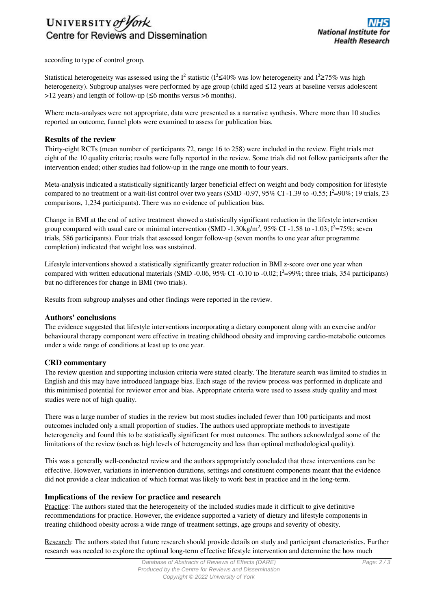# UNIVERSITY of York Centre for Reviews and Dissemination

according to type of control group.

Statistical heterogeneity was assessed using the I<sup>2</sup> statistic ( $I^2 \le 40\%$  was low heterogeneity and I<sup>2</sup>≥75% was high heterogeneity). Subgroup analyses were performed by age group (child aged ≤12 years at baseline versus adolescent  $>12$  years) and length of follow-up ( $\leq 6$  months versus  $> 6$  months).

Where meta-analyses were not appropriate, data were presented as a narrative synthesis. Where more than 10 studies reported an outcome, funnel plots were examined to assess for publication bias.

## **Results of the review**

Thirty-eight RCTs (mean number of participants 72, range 16 to 258) were included in the review. Eight trials met eight of the 10 quality criteria; results were fully reported in the review. Some trials did not follow participants after the intervention ended; other studies had follow-up in the range one month to four years.

Meta-analysis indicated a statistically significantly larger beneficial effect on weight and body composition for lifestyle compared to no treatment or a wait-list control over two years (SMD -0.97, 95% CI -1.39 to -0.55; Ι<sup>2</sup>=90%; 19 trials, 23 comparisons, 1,234 participants). There was no evidence of publication bias.

Change in BMI at the end of active treatment showed a statistically significant reduction in the lifestyle intervention group compared with usual care or minimal intervention (SMD -1.30kg/m<sup>2</sup>, 95% CI -1.58 to -1.03;  $I^2 = 75\%$ ; seven trials, 586 participants). Four trials that assessed longer follow-up (seven months to one year after programme completion) indicated that weight loss was sustained.

Lifestyle interventions showed a statistically significantly greater reduction in BMI z-score over one year when compared with written educational materials (SMD -0.06, 95% CI -0.10 to -0.02; Ι²=99%; three trials, 354 participants) but no differences for change in BMI (two trials).

Results from subgroup analyses and other findings were reported in the review.

## **Authors' conclusions**

The evidence suggested that lifestyle interventions incorporating a dietary component along with an exercise and/or behavioural therapy component were effective in treating childhood obesity and improving cardio-metabolic outcomes under a wide range of conditions at least up to one year.

## **CRD commentary**

The review question and supporting inclusion criteria were stated clearly. The literature search was limited to studies in English and this may have introduced language bias. Each stage of the review process was performed in duplicate and this minimised potential for reviewer error and bias. Appropriate criteria were used to assess study quality and most studies were not of high quality.

There was a large number of studies in the review but most studies included fewer than 100 participants and most outcomes included only a small proportion of studies. The authors used appropriate methods to investigate heterogeneity and found this to be statistically significant for most outcomes. The authors acknowledged some of the limitations of the review (such as high levels of heterogeneity and less than optimal methodological quality).

This was a generally well-conducted review and the authors appropriately concluded that these interventions can be effective. However, variations in intervention durations, settings and constituent components meant that the evidence did not provide a clear indication of which format was likely to work best in practice and in the long-term.

# **Implications of the review for practice and research**

Practice: The authors stated that the heterogeneity of the included studies made it difficult to give definitive recommendations for practice. However, the evidence supported a variety of dietary and lifestyle components in treating childhood obesity across a wide range of treatment settings, age groups and severity of obesity.

Research: The authors stated that future research should provide details on study and participant characteristics. Further research was needed to explore the optimal long-term effective lifestyle intervention and determine the how much